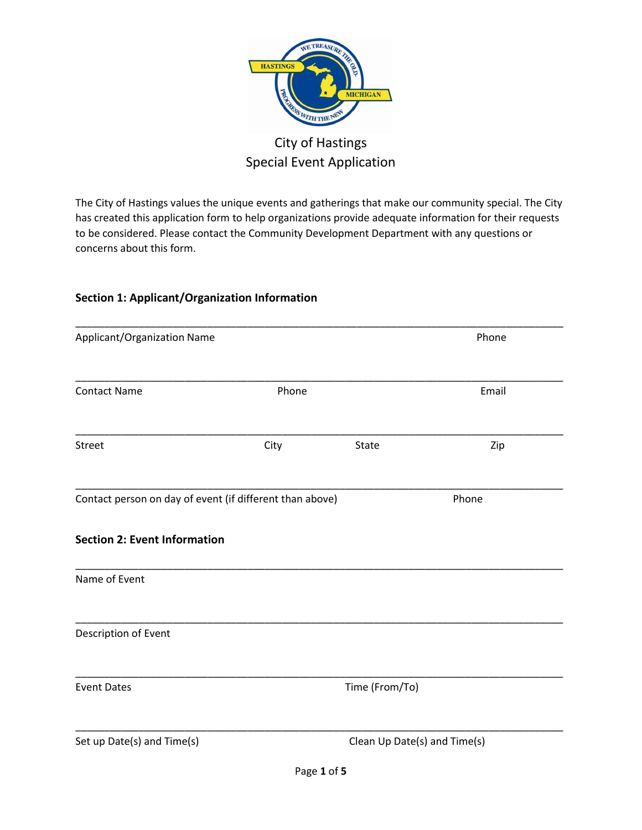

# City of Hastings Special Event Application

The City of Hastings values the unique events and gatherings that make our community special. The City has created this application form to help organizations provide adequate information for their requests to be considered. Please contact the Community Development Department with any questions or concerns about this form.

## **Section 1: Applicant/Organization Information**

| Applicant/Organization Name                              |       |                              | Phone |  |
|----------------------------------------------------------|-------|------------------------------|-------|--|
| <b>Contact Name</b>                                      | Phone |                              | Email |  |
| Street                                                   | City  | State                        | Zip   |  |
| Contact person on day of event (if different than above) |       |                              | Phone |  |
| <b>Section 2: Event Information</b>                      |       |                              |       |  |
| Name of Event                                            |       |                              |       |  |
| Description of Event                                     |       |                              |       |  |
| <b>Event Dates</b>                                       |       | Time (From/To)               |       |  |
| Set up Date(s) and Time(s)                               |       | Clean Up Date(s) and Time(s) |       |  |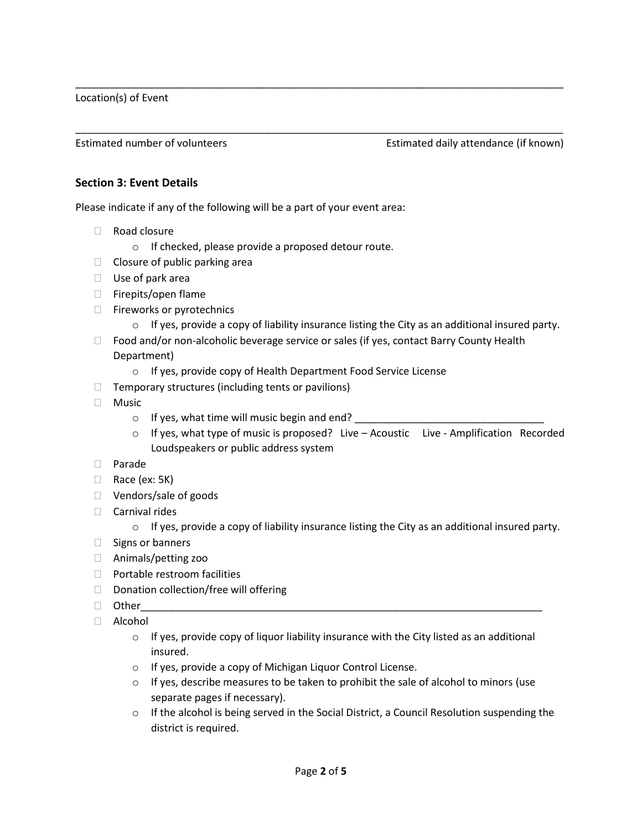Location(s) of Event

Estimated number of volunteers Estimated daily attendance (if known)

#### **Section 3: Event Details**

Please indicate if any of the following will be a part of your event area:

- Road closure
	- o If checked, please provide a proposed detour route.
- $\Box$  Closure of public parking area
- $\Box$  Use of park area
- □ Firepits/open flame
- □ Fireworks or pyrotechnics
	- $\circ$  If yes, provide a copy of liability insurance listing the City as an additional insured party.
- $\Box$  Food and/or non-alcoholic beverage service or sales (if yes, contact Barry County Health Department)

\_\_\_\_\_\_\_\_\_\_\_\_\_\_\_\_\_\_\_\_\_\_\_\_\_\_\_\_\_\_\_\_\_\_\_\_\_\_\_\_\_\_\_\_\_\_\_\_\_\_\_\_\_\_\_\_\_\_\_\_\_\_\_\_\_\_\_\_\_\_\_\_\_\_\_\_\_\_\_\_\_\_\_\_\_

\_\_\_\_\_\_\_\_\_\_\_\_\_\_\_\_\_\_\_\_\_\_\_\_\_\_\_\_\_\_\_\_\_\_\_\_\_\_\_\_\_\_\_\_\_\_\_\_\_\_\_\_\_\_\_\_\_\_\_\_\_\_\_\_\_\_\_\_\_\_\_\_\_\_\_\_\_\_\_\_\_\_\_\_\_

- o If yes, provide copy of Health Department Food Service License
- $\Box$  Temporary structures (including tents or pavilions)
- Music
	- $\circ$  If yes, what time will music begin and end?
	- $\circ$  If yes, what type of music is proposed? Live Acoustic Live Amplification Recorded Loudspeakers or public address system
- Parade
- $\Box$  Race (ex: 5K)
- □ Vendors/sale of goods
- $\Box$  Carnival rides
	- $\circ$  If yes, provide a copy of liability insurance listing the City as an additional insured party.
- $\Box$  Signs or banners
- Animals/petting zoo
- $\Box$  Portable restroom facilities
- $\Box$  Donation collection/free will offering
- Other\_\_\_\_\_\_\_\_\_\_\_\_\_\_\_\_\_\_\_\_\_\_\_\_\_\_\_\_\_\_\_\_\_\_\_\_\_\_\_\_\_\_\_\_\_\_\_\_\_\_\_\_\_\_\_\_\_\_\_\_\_\_\_\_\_\_\_\_\_\_
- Alcohol
	- $\circ$  If yes, provide copy of liquor liability insurance with the City listed as an additional insured.
	- o If yes, provide a copy of Michigan Liquor Control License.
	- $\circ$  If yes, describe measures to be taken to prohibit the sale of alcohol to minors (use separate pages if necessary).
	- $\circ$  If the alcohol is being served in the Social District, a Council Resolution suspending the district is required.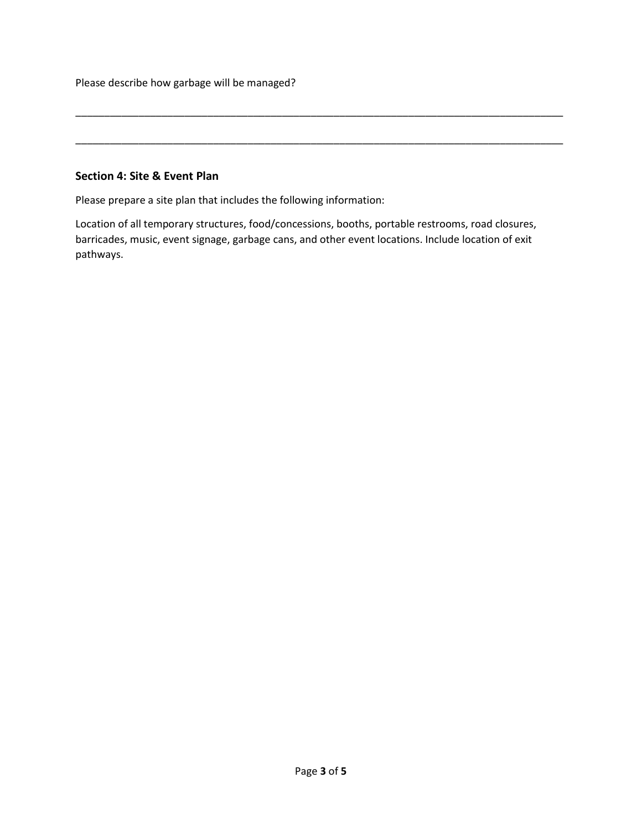Please describe how garbage will be managed?

## **Section 4: Site & Event Plan**

Please prepare a site plan that includes the following information:

Location of all temporary structures, food/concessions, booths, portable restrooms, road closures, barricades, music, event signage, garbage cans, and other event locations. Include location of exit pathways.

\_\_\_\_\_\_\_\_\_\_\_\_\_\_\_\_\_\_\_\_\_\_\_\_\_\_\_\_\_\_\_\_\_\_\_\_\_\_\_\_\_\_\_\_\_\_\_\_\_\_\_\_\_\_\_\_\_\_\_\_\_\_\_\_\_\_\_\_\_\_\_\_\_\_\_\_\_\_\_\_\_\_\_\_\_

\_\_\_\_\_\_\_\_\_\_\_\_\_\_\_\_\_\_\_\_\_\_\_\_\_\_\_\_\_\_\_\_\_\_\_\_\_\_\_\_\_\_\_\_\_\_\_\_\_\_\_\_\_\_\_\_\_\_\_\_\_\_\_\_\_\_\_\_\_\_\_\_\_\_\_\_\_\_\_\_\_\_\_\_\_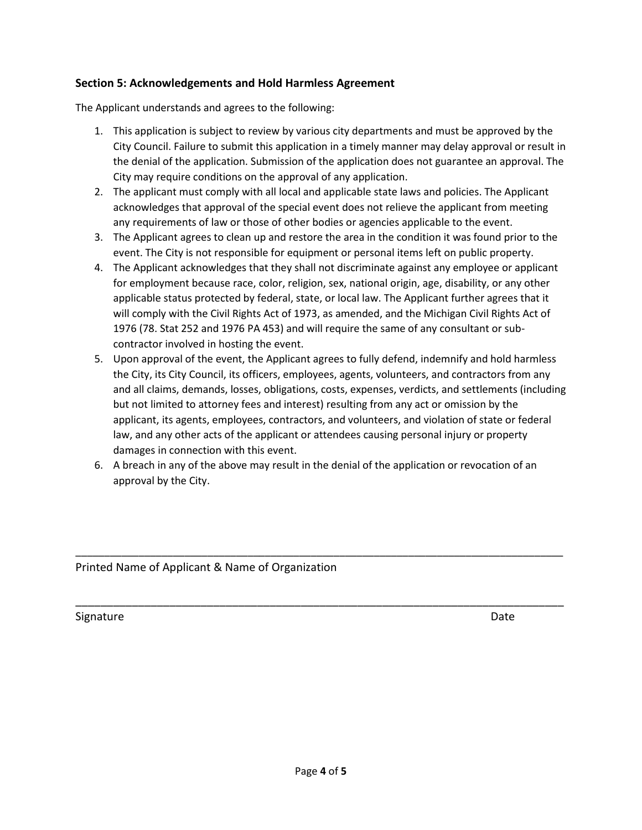## **Section 5: Acknowledgements and Hold Harmless Agreement**

The Applicant understands and agrees to the following:

- 1. This application is subject to review by various city departments and must be approved by the City Council. Failure to submit this application in a timely manner may delay approval or result in the denial of the application. Submission of the application does not guarantee an approval. The City may require conditions on the approval of any application.
- 2. The applicant must comply with all local and applicable state laws and policies. The Applicant acknowledges that approval of the special event does not relieve the applicant from meeting any requirements of law or those of other bodies or agencies applicable to the event.
- 3. The Applicant agrees to clean up and restore the area in the condition it was found prior to the event. The City is not responsible for equipment or personal items left on public property.
- 4. The Applicant acknowledges that they shall not discriminate against any employee or applicant for employment because race, color, religion, sex, national origin, age, disability, or any other applicable status protected by federal, state, or local law. The Applicant further agrees that it will comply with the Civil Rights Act of 1973, as amended, and the Michigan Civil Rights Act of 1976 (78. Stat 252 and 1976 PA 453) and will require the same of any consultant or subcontractor involved in hosting the event.
- 5. Upon approval of the event, the Applicant agrees to fully defend, indemnify and hold harmless the City, its City Council, its officers, employees, agents, volunteers, and contractors from any and all claims, demands, losses, obligations, costs, expenses, verdicts, and settlements (including but not limited to attorney fees and interest) resulting from any act or omission by the applicant, its agents, employees, contractors, and volunteers, and violation of state or federal law, and any other acts of the applicant or attendees causing personal injury or property damages in connection with this event.
- 6. A breach in any of the above may result in the denial of the application or revocation of an approval by the City.

\_\_\_\_\_\_\_\_\_\_\_\_\_\_\_\_\_\_\_\_\_\_\_\_\_\_\_\_\_\_\_\_\_\_\_\_\_\_\_\_\_\_\_\_\_\_\_\_\_\_\_\_\_\_\_\_\_\_\_\_\_\_\_\_\_\_\_\_\_\_\_\_\_\_\_\_\_\_\_\_\_\_\_\_\_

\_\_\_\_\_\_\_\_\_\_\_\_\_\_\_\_\_\_\_\_\_\_\_\_\_\_\_\_\_\_\_\_\_\_\_\_\_\_\_\_\_\_\_\_\_\_\_\_\_\_\_\_\_\_\_\_\_\_\_\_\_\_\_\_\_\_\_\_\_\_\_\_\_\_\_\_\_\_

Printed Name of Applicant & Name of Organization

Signature Date Date of the Contract of the Contract of the Contract of the Date Date